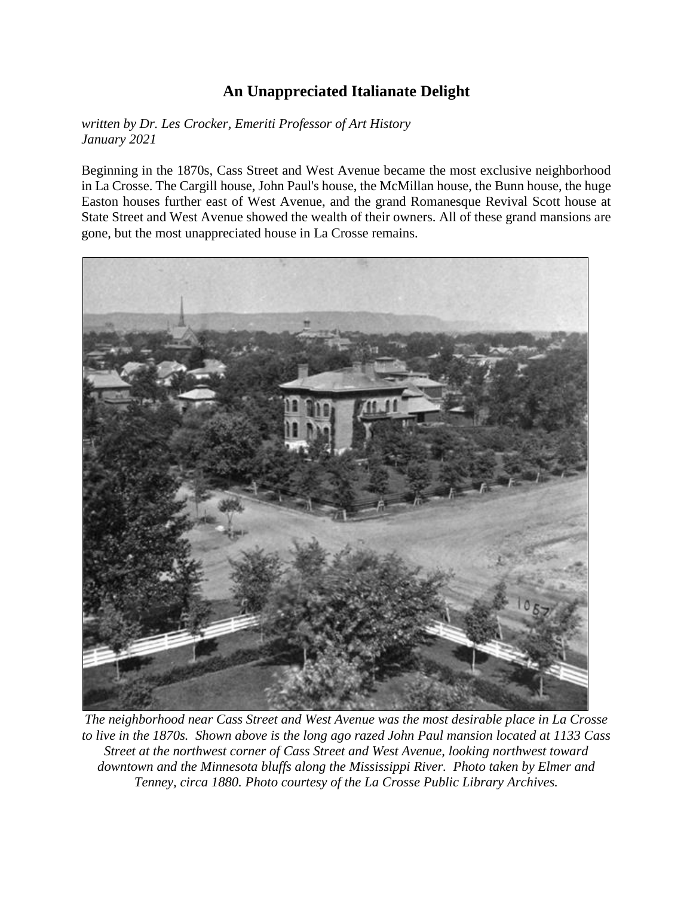## **An Unappreciated Italianate Delight**

*written by Dr. Les Crocker, Emeriti Professor of Art History January 2021*

Beginning in the 1870s, Cass Street and West Avenue became the most exclusive neighborhood in La Crosse. The Cargill house, John Paul's house, the McMillan house, the Bunn house, the huge Easton houses further east of West Avenue, and the grand Romanesque Revival Scott house at State Street and West Avenue showed the wealth of their owners. All of these grand mansions are gone, but the most unappreciated house in La Crosse remains.



*The neighborhood near Cass Street and West Avenue was the most desirable place in La Crosse to live in the 1870s. Shown above is the long ago razed John Paul mansion located at 1133 Cass Street at the northwest corner of Cass Street and West Avenue, looking northwest toward downtown and the Minnesota bluffs along the Mississippi River. Photo taken by Elmer and Tenney, circa 1880. Photo courtesy of the La Crosse Public Library Archives.*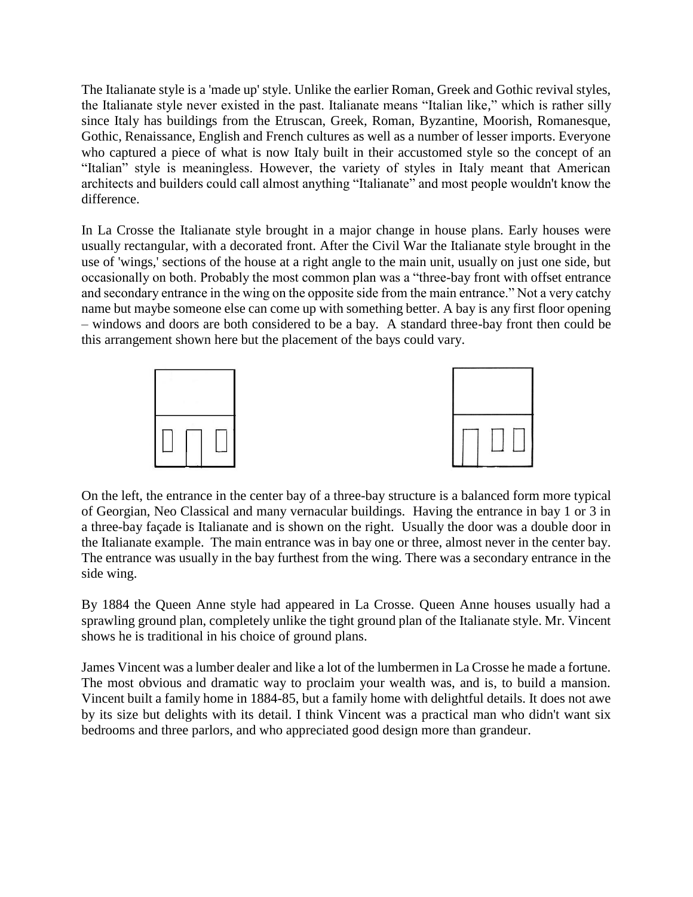The Italianate style is a 'made up' style. Unlike the earlier Roman, Greek and Gothic revival styles, the Italianate style never existed in the past. Italianate means "Italian like," which is rather silly since Italy has buildings from the Etruscan, Greek, Roman, Byzantine, Moorish, Romanesque, Gothic, Renaissance, English and French cultures as well as a number of lesser imports. Everyone who captured a piece of what is now Italy built in their accustomed style so the concept of an "Italian" style is meaningless. However, the variety of styles in Italy meant that American architects and builders could call almost anything "Italianate" and most people wouldn't know the difference.

In La Crosse the Italianate style brought in a major change in house plans. Early houses were usually rectangular, with a decorated front. After the Civil War the Italianate style brought in the use of 'wings,' sections of the house at a right angle to the main unit, usually on just one side, but occasionally on both. Probably the most common plan was a "three-bay front with offset entrance and secondary entrance in the wing on the opposite side from the main entrance." Not a very catchy name but maybe someone else can come up with something better. A bay is any first floor opening – windows and doors are both considered to be a bay. A standard three-bay front then could be this arrangement shown here but the placement of the bays could vary.



On the left, the entrance in the center bay of a three-bay structure is a balanced form more typical of Georgian, Neo Classical and many vernacular buildings. Having the entrance in bay 1 or 3 in a three-bay façade is Italianate and is shown on the right. Usually the door was a double door in the Italianate example. The main entrance was in bay one or three, almost never in the center bay. The entrance was usually in the bay furthest from the wing. There was a secondary entrance in the side wing.

By 1884 the Queen Anne style had appeared in La Crosse. Queen Anne houses usually had a sprawling ground plan, completely unlike the tight ground plan of the Italianate style. Mr. Vincent shows he is traditional in his choice of ground plans.

James Vincent was a lumber dealer and like a lot of the lumbermen in La Crosse he made a fortune. The most obvious and dramatic way to proclaim your wealth was, and is, to build a mansion. Vincent built a family home in 1884-85, but a family home with delightful details. It does not awe by its size but delights with its detail. I think Vincent was a practical man who didn't want six bedrooms and three parlors, and who appreciated good design more than grandeur.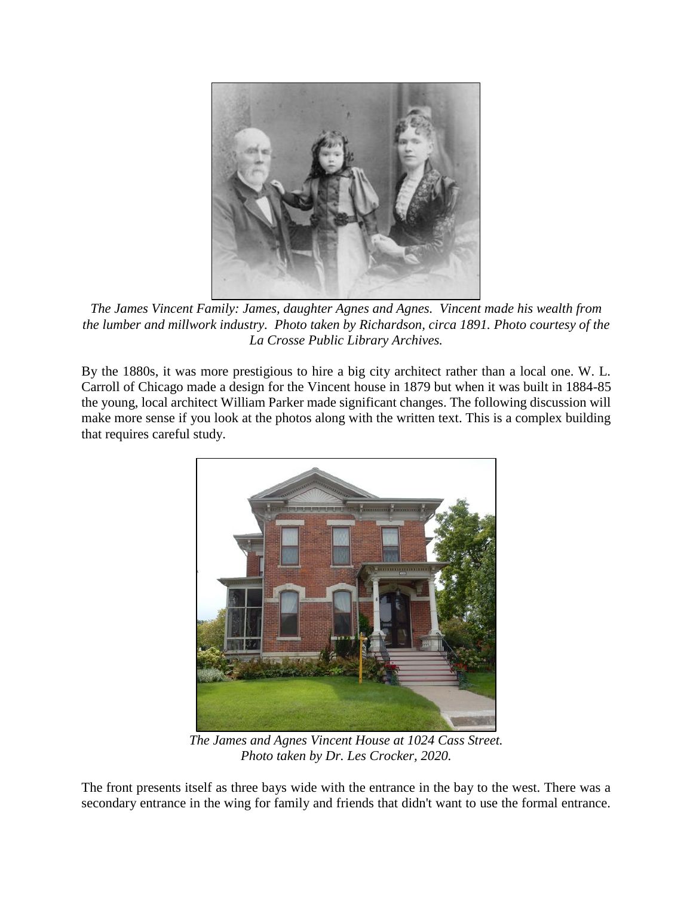

*The James Vincent Family: James, daughter Agnes and Agnes. Vincent made his wealth from the lumber and millwork industry. Photo taken by Richardson, circa 1891. Photo courtesy of the La Crosse Public Library Archives.*

By the 1880s, it was more prestigious to hire a big city architect rather than a local one. W. L. Carroll of Chicago made a design for the Vincent house in 1879 but when it was built in 1884-85 the young, local architect William Parker made significant changes. The following discussion will make more sense if you look at the photos along with the written text. This is a complex building that requires careful study.



*The James and Agnes Vincent House at 1024 Cass Street. Photo taken by Dr. Les Crocker, 2020.*

The front presents itself as three bays wide with the entrance in the bay to the west. There was a secondary entrance in the wing for family and friends that didn't want to use the formal entrance.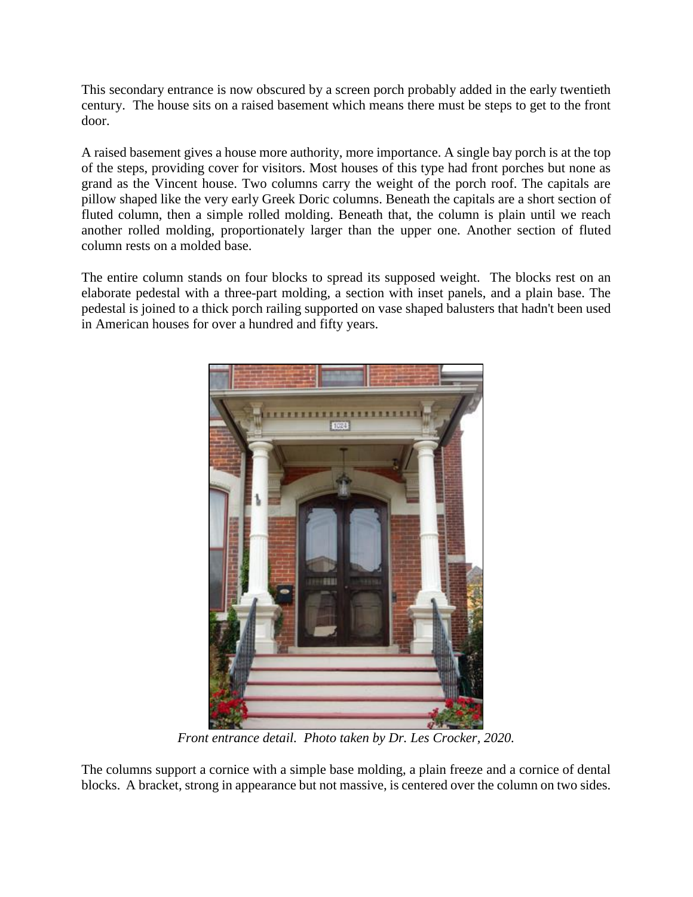This secondary entrance is now obscured by a screen porch probably added in the early twentieth century. The house sits on a raised basement which means there must be steps to get to the front door.

A raised basement gives a house more authority, more importance. A single bay porch is at the top of the steps, providing cover for visitors. Most houses of this type had front porches but none as grand as the Vincent house. Two columns carry the weight of the porch roof. The capitals are pillow shaped like the very early Greek Doric columns. Beneath the capitals are a short section of fluted column, then a simple rolled molding. Beneath that, the column is plain until we reach another rolled molding, proportionately larger than the upper one. Another section of fluted column rests on a molded base.

The entire column stands on four blocks to spread its supposed weight. The blocks rest on an elaborate pedestal with a three-part molding, a section with inset panels, and a plain base. The pedestal is joined to a thick porch railing supported on vase shaped balusters that hadn't been used in American houses for over a hundred and fifty years.



*Front entrance detail. Photo taken by Dr. Les Crocker, 2020.*

The columns support a cornice with a simple base molding, a plain freeze and a cornice of dental blocks. A bracket, strong in appearance but not massive, is centered over the column on two sides.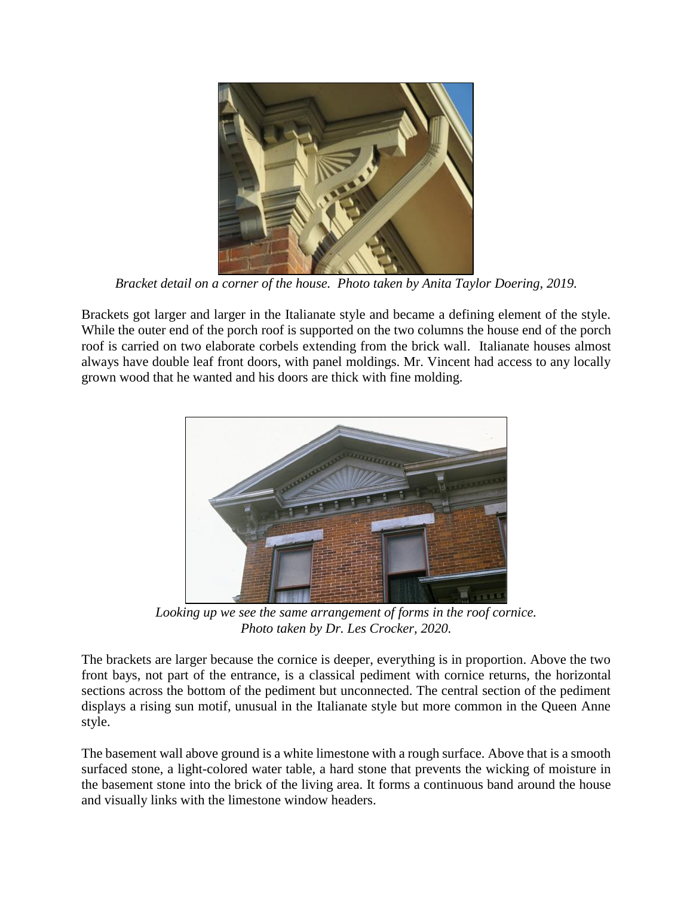

*Bracket detail on a corner of the house. Photo taken by Anita Taylor Doering, 2019.*

Brackets got larger and larger in the Italianate style and became a defining element of the style. While the outer end of the porch roof is supported on the two columns the house end of the porch roof is carried on two elaborate corbels extending from the brick wall. Italianate houses almost always have double leaf front doors, with panel moldings. Mr. Vincent had access to any locally grown wood that he wanted and his doors are thick with fine molding.



*Looking up we see the same arrangement of forms in the roof cornice. Photo taken by Dr. Les Crocker, 2020.*

The brackets are larger because the cornice is deeper, everything is in proportion. Above the two front bays, not part of the entrance, is a classical pediment with cornice returns, the horizontal sections across the bottom of the pediment but unconnected. The central section of the pediment displays a rising sun motif, unusual in the Italianate style but more common in the Queen Anne style.

The basement wall above ground is a white limestone with a rough surface. Above that is a smooth surfaced stone, a light-colored water table, a hard stone that prevents the wicking of moisture in the basement stone into the brick of the living area. It forms a continuous band around the house and visually links with the limestone window headers.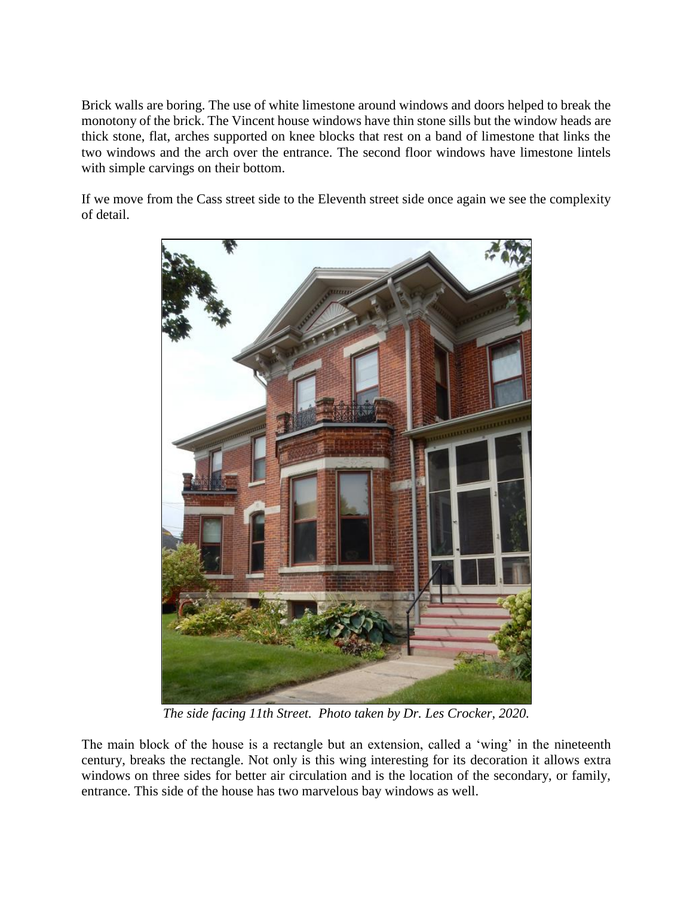Brick walls are boring. The use of white limestone around windows and doors helped to break the monotony of the brick. The Vincent house windows have thin stone sills but the window heads are thick stone, flat, arches supported on knee blocks that rest on a band of limestone that links the two windows and the arch over the entrance. The second floor windows have limestone lintels with simple carvings on their bottom.

If we move from the Cass street side to the Eleventh street side once again we see the complexity of detail.



*The side facing 11th Street. Photo taken by Dr. Les Crocker, 2020.*

The main block of the house is a rectangle but an extension, called a 'wing' in the nineteenth century, breaks the rectangle. Not only is this wing interesting for its decoration it allows extra windows on three sides for better air circulation and is the location of the secondary, or family, entrance. This side of the house has two marvelous bay windows as well.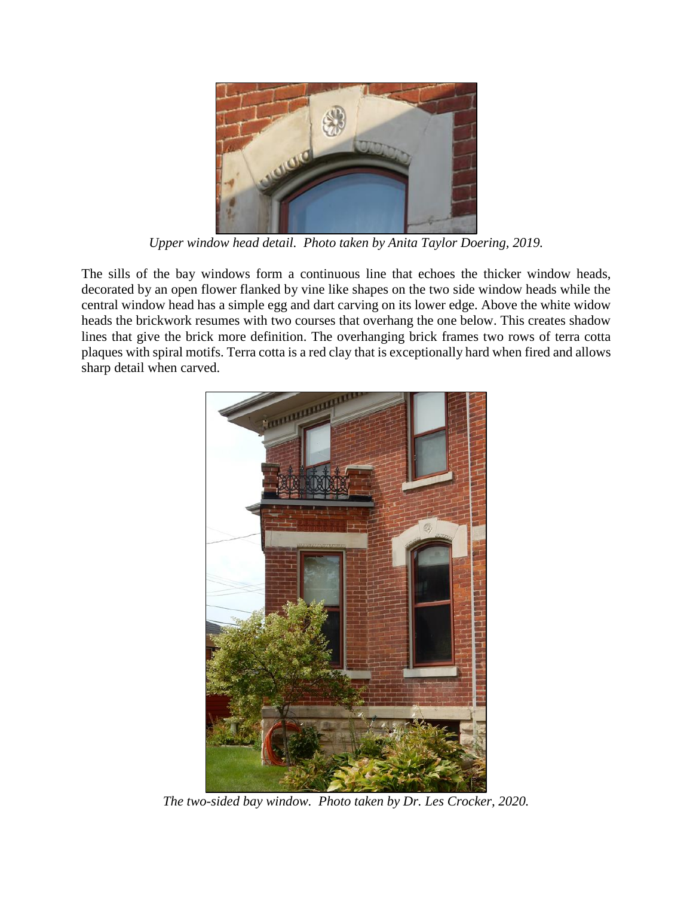

*Upper window head detail. Photo taken by Anita Taylor Doering, 2019.*

The sills of the bay windows form a continuous line that echoes the thicker window heads, decorated by an open flower flanked by vine like shapes on the two side window heads while the central window head has a simple egg and dart carving on its lower edge. Above the white widow heads the brickwork resumes with two courses that overhang the one below. This creates shadow lines that give the brick more definition. The overhanging brick frames two rows of terra cotta plaques with spiral motifs. Terra cotta is a red clay that is exceptionally hard when fired and allows sharp detail when carved.



*The two-sided bay window. Photo taken by Dr. Les Crocker, 2020.*